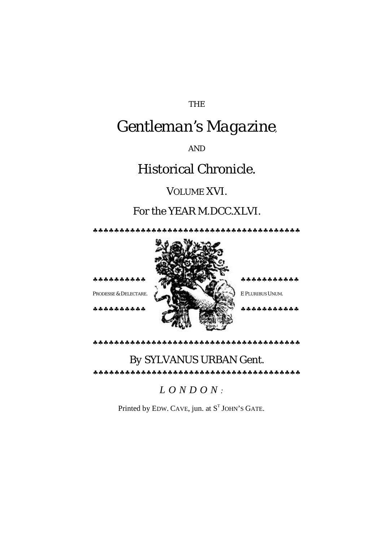#### THE

# *Gentleman's Magazine,*

AND

## Historical Chronicle.

#### VOLUME XVI.

### For the YEAR M.DCC.XLVI.

♣♣♣♣♣♣♣♣♣♣♣♣♣♣♣♣♣♣♣♣♣♣♣♣♣♣♣♣♣♣♣♣♣♣♣♣♣♣♣



♣♣♣♣♣♣♣♣♣♣♣♣♣♣♣♣♣♣♣♣♣♣♣♣♣♣♣♣♣♣♣♣♣♣♣♣♣♣♣

## *By* SYLVANUS URBAN Gent.

♣♣♣♣♣♣♣♣♣♣♣♣♣♣♣♣♣♣♣♣♣♣♣♣♣♣♣♣♣♣♣♣♣♣♣♣♣♣♣

*LONDON :*

Printed by EDW. CAVE, jun. at  $S<sup>T</sup>$  JOHN'S GATE.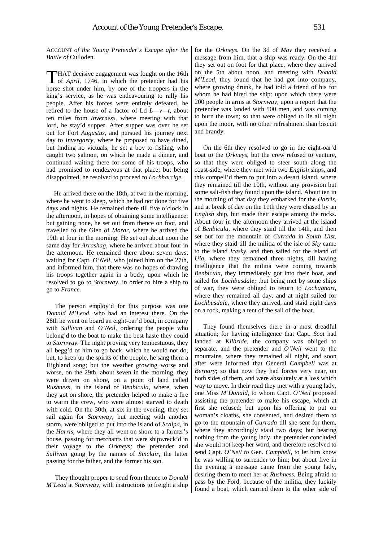ACCOUNT *of the Young Pretender's Escape after the Battle of* Culloden.

HAT decisive engagement was fought on the 16th **THAT** decisive engagement was fought on the 16th of *April*, 1746, in which the pretender had his horse shot under him, by one of the troopers in the king's service, as he was endeavouring to rally his people. After his forces were entirely defeated, he retired to the house of a factor of Ld *L*—*v—t*, about ten miles from *Inverness,* where meeting with that lord, he stay'd supper. After supper was over he set out for Fort *Augustus,* and pursued his journey next day to *Invergarry,* where he proposed to have dined, but finding no victuals, he set a boy to fishing, who caught two salmon, on which he made a dinner, and continued waiting there for some of his troops, who had promised to rendezvous at that place; but being disappointed, he resolved to proceed to *Lochharcige.*

He arrived there on the 18th, at two in the morning, where he went to sleep, which he had not done for five days and nights. He remained there till five o'clock in the afternoon, in hopes of obtaining some intelligence; but gaining none, he set out from thence on foot, and travelled to the Glen of *Morar,* where he arrived the 19th at four in the morning. He set out about noon the same day for *Arrashag,* where he arrived about four in the afternoon. He remained there about seven days, waiting for Capt. *O'Neil,* who joined him on the 27th, and informed him, that there was no hopes of drawing his troops together again in a body; upon which he resolved to go to *Stornway,* in order to hire a ship to go to *France.*

The person employ'd for this purpose was one *Donald M'Leod,* who had an interest there. On the 28th he went on board an eight-oar'd boat, in company with *Sullivan* and *O'Neil,* ordering the people who belong'd to the boat to make the best haste they could to *Stornway.* The night proving very tempestuous, they all begg'd of him to go back, which he would not do, but, to keep up the spirits of the people, he sang them a Highland song; but the weather growing worse and worse, on the 29th, about seven in the morning, they were driven on shore, on a point of land called *Rushness,* in the island of *Benbicula,* where, when they got on shore, the pretender helped to make a fire to warm the crew, who were almost starved to death with cold. On the 30th, at six in the evening, they set sail again for *Stornway,* but meeting with another storm, were obliged to put into the island of *Scalpa,* in the *Harris,* where they all went on shore to a farmer's house, passing for merchants that were shipwreck'd in their voyage to the *Orkneys;* the pretender and *Sullivan* going by the names of *Sinclair,* the latter passing for the father, and the former his son.

They thought proper to send from thence to *Donald M'Leod* at *Stornway,* with instructions to freight a ship for the *Orkneys.* On the 3d of *May* they received a message from him, that a ship was ready. On the 4th they set out on foot for that place, where they arrived on the 5th about noon, and meeting with *Donald M'Leod,* they found that he had got into company, where growing drunk, he had told a friend of his for whom he had hired the ship: upon which there were 200 people in arms at *Stornway,* upon a report that the pretender was landed with 500 men, and was coming to burn the town; so that were obliged to lie all night upon the moor, with no other refreshment than biscuit and brandy.

On the 6th they resolved to go in the eight-oar'd boat to the *Orkneys,* but the crew refused to venture, so that they were obliged to steer south along the coast-side, where they met with two *English* ships, and this compell'd them to put into a desart island, where they remained till the 10th, without any provision but some salt-fish they found upon the island. About ten in the morning of that day they embarked for the *Harris,*  and at break of day on the 11th they were chased by an *English* ship, but made their escape among the rocks. About four in the afternoon they arrived at the island of *Benbicula,* where they staid till the 14th, and then set out for the mountain of *Currada* in *South Uist,* where they staid till the militia of the isle of *Sky* came to the island *Irasky,* and then sailed for the island of *Uia,* where they remained three nights, till having intelligence that the militia were coming towards *Benbicula,* they immediately got into their boat, and sailed for *Lochbusdale;* .but being met by some ships of war, they were obliged to return to *Lochagnart,*  where they remained all day, and at night sailed for *Lochbusdale,* where they arrived, and staid eight days on a rock, making a tent of the sail of the boat.

They found themselves there in a most dreadful situation; for having intelligence that Capt. *Scot* had landed at *Kilbride,* the company was obliged to separate, and the pretender and *O'Neil* went to the mountains, where they remained all night, and soon after were informed that General *Campbell* was at *Bernary*; so that now they had forces very near, on both sides of them, and were absolutely at a loss which way to move. In their road they met with a young lady, one Miss *M'Donald,* to whom Capt. *O'Neil* proposed assisting the pretender to make his escape, which at first she refused; but upon his offering to put on woman's cloaths, she consented, and desired them to go to the mountain of *Currada* till she sent for them, where they accordingly staid two days; but hearing nothing from the young lady, the pretender concluded she would not keep her word, and therefore resolved to send Capt. *O'Neil to* Gen. *Campbell,* to let him know he was willing to surrender to him; but about five in the evening a message came from the young lady, desiring them to meet her at *Rushness.* Being afraid to pass by the Ford, because of the militia, they luckily found a boat, which carried them to the other side of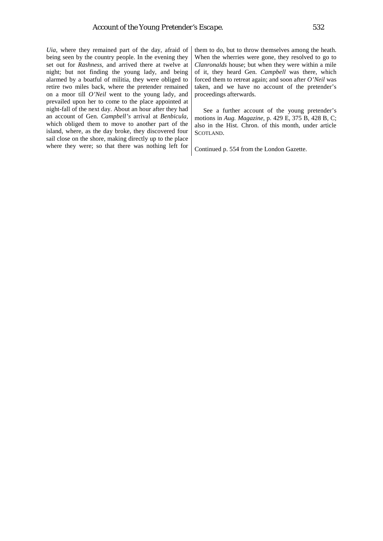*Uia,* where they remained part of the day, afraid of being seen by the country people. In the evening they set out for *Rashness,* and arrived there at twelve at night; but not finding the young lady, and being alarmed by a boatful of militia, they were obliged to retire two miles back, where the pretender remained on a moor till *O'Neil* went to the young lady, and prevailed upon her to come to the place appointed at night-fall of the next day. About an hour after they had an account of Gen. *Campbell's* arrival at *Benbicula,*  which obliged them to move to another part of the island, where, as the day broke, they discovered four sail close on the shore, making directly up to the place where they were; so that there was nothing left for

them to do, but to throw themselves among the heath. When the wherries were gone, they resolved to go to *Clanronalds* house; but when they were within a mile of it, they heard Gen. *Campbell* was there, which forced them to retreat again; and soon after *O'Neil* was taken, and we have no account of the pretender's proceedings afterwards.

See a further account of the young pretender's motions in *Aug. Magazine*, p. 429 E, 375 B, 428 B, C; also in the Hist. Chron. of this month, under article SCOTLAND.

Continued p. 554 from the London Gazette.